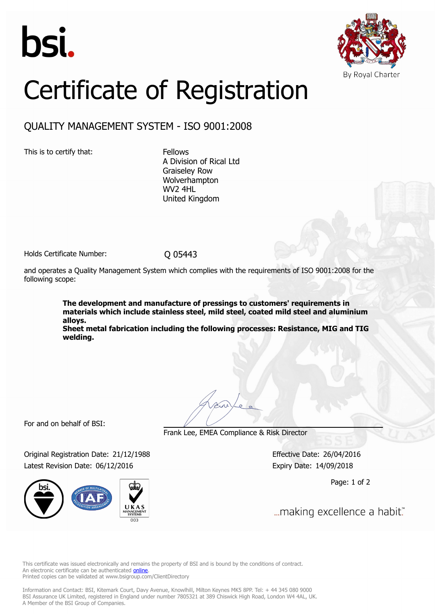



# Certificate of Registration

## QUALITY MANAGEMENT SYSTEM - ISO 9001:2008

This is to certify that: Fellows

A Division of Rical Ltd Graiseley Row Wolverhampton WV2 4HL United Kingdom

Holds Certificate Number: 0 05443

and operates a Quality Management System which complies with the requirements of ISO 9001:2008 for the following scope:

> **The development and manufacture of pressings to customers' requirements in materials which include stainless steel, mild steel, coated mild steel and aluminium alloys.**

> **Sheet metal fabrication including the following processes: Resistance, MIG and TIG welding.**

For and on behalf of BSI:

Frank Lee, EMEA Compliance & Risk Director

Original Registration Date: 21/12/1988 Effective Date: 26/04/2016 Latest Revision Date: 06/12/2016 Expiry Date: 14/09/2018



Page: 1 of 2

... making excellence a habit."

This certificate was issued electronically and remains the property of BSI and is bound by the conditions of contract. An electronic certificate can be authenticated **[online](https://pgplus.bsigroup.com/CertificateValidation/CertificateValidator.aspx?CertificateNumber=Q 05443&ReIssueDate=06/12/2016&Template=uk)**. Printed copies can be validated at www.bsigroup.com/ClientDirectory

Information and Contact: BSI, Kitemark Court, Davy Avenue, Knowlhill, Milton Keynes MK5 8PP. Tel: + 44 345 080 9000 BSI Assurance UK Limited, registered in England under number 7805321 at 389 Chiswick High Road, London W4 4AL, UK. A Member of the BSI Group of Companies.